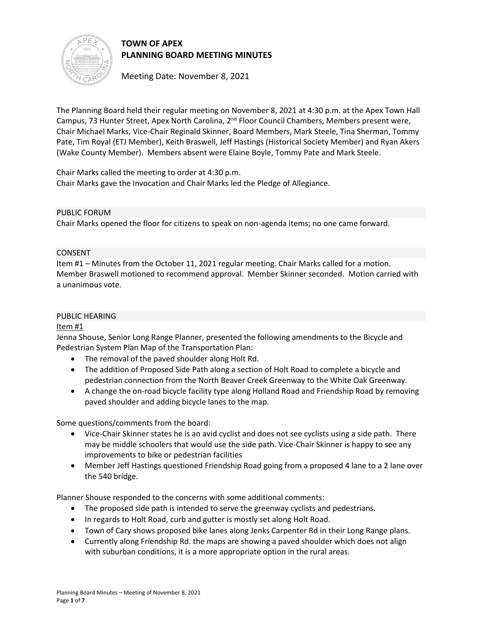

# **TOWN OF APEX PLANNING BOARD MEETING MINUTES**

Meeting Date: November 8, 2021

The Planning Board held their regular meeting on November 8, 2021 at 4:30 p.m. at the Apex Town Hall Campus, 73 Hunter Street, Apex North Carolina, 2<sup>nd</sup> Floor Council Chambers, Members present were, Chair Michael Marks, Vice-Chair Reginald Skinner, Board Members, Mark Steele, Tina Sherman, Tommy Pate, Tim Royal (ETJ Member), Keith Braswell, Jeff Hastings (Historical Society Member) and Ryan Akers (Wake County Member). Members absent were Elaine Boyle, Tommy Pate and Mark Steele.

Chair Marks called the meeting to order at 4:30 p.m. Chair Marks gave the Invocation and Chair Marks led the Pledge of Allegiance.

### PUBLIC FORUM

Chair Marks opened the floor for citizens to speak on non-agenda items; no one came forward.

### CONSENT

Item #1 – Minutes from the October 11, 2021 regular meeting. Chair Marks called for a motion. Member Braswell motioned to recommend approval. Member Skinner seconded. Motion carried with a unanimous vote.

### PUBLIC HEARING

## Item #1

Jenna Shouse, Senior Long Range Planner, presented the following amendments to the Bicycle and Pedestrian System Plan Map of the Transportation Plan:

- The removal of the paved shoulder along Holt Rd.
- The addition of Proposed Side Path along a section of Holt Road to complete a bicycle and pedestrian connection from the North Beaver Creek Greenway to the White Oak Greenway.
- A change the on-road bicycle facility type along Holland Road and Friendship Road by removing paved shoulder and adding bicycle lanes to the map.

Some questions/comments from the board:

- Vice-Chair Skinner states he is an avid cyclist and does not see cyclists using a side path. There may be middle schoolers that would use the side path. Vice-Chair Skinner is happy to see any improvements to bike or pedestrian facilities
- Member Jeff Hastings questioned Friendship Road going from a proposed 4 lane to a 2 lane over the 540 bridge.

Planner Shouse responded to the concerns with some additional comments:

- The proposed side path is intended to serve the greenway cyclists and pedestrians.
- In regards to Holt Road, curb and gutter is mostly set along Holt Road.
- Town of Cary shows proposed bike lanes along Jenks Carpenter Rd in their Long Range plans.
- Currently along Friendship Rd. the maps are showing a paved shoulder which does not align with suburban conditions, it is a more appropriate option in the rural areas.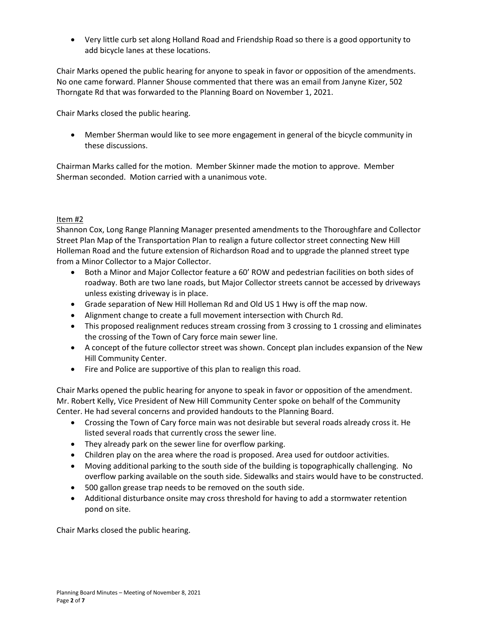• Very little curb set along Holland Road and Friendship Road so there is a good opportunity to add bicycle lanes at these locations.

Chair Marks opened the public hearing for anyone to speak in favor or opposition of the amendments. No one came forward. Planner Shouse commented that there was an email from Janyne Kizer, 502 Thorngate Rd that was forwarded to the Planning Board on November 1, 2021.

Chair Marks closed the public hearing.

• Member Sherman would like to see more engagement in general of the bicycle community in these discussions.

Chairman Marks called for the motion. Member Skinner made the motion to approve. Member Sherman seconded. Motion carried with a unanimous vote.

### Item #2

Shannon Cox, Long Range Planning Manager presented amendments to the Thoroughfare and Collector Street Plan Map of the Transportation Plan to realign a future collector street connecting New Hill Holleman Road and the future extension of Richardson Road and to upgrade the planned street type from a Minor Collector to a Major Collector.

- Both a Minor and Major Collector feature a 60' ROW and pedestrian facilities on both sides of roadway. Both are two lane roads, but Major Collector streets cannot be accessed by driveways unless existing driveway is in place.
- Grade separation of New Hill Holleman Rd and Old US 1 Hwy is off the map now.
- Alignment change to create a full movement intersection with Church Rd.
- This proposed realignment reduces stream crossing from 3 crossing to 1 crossing and eliminates the crossing of the Town of Cary force main sewer line.
- A concept of the future collector street was shown. Concept plan includes expansion of the New Hill Community Center.
- Fire and Police are supportive of this plan to realign this road.

Chair Marks opened the public hearing for anyone to speak in favor or opposition of the amendment. Mr. Robert Kelly, Vice President of New Hill Community Center spoke on behalf of the Community Center. He had several concerns and provided handouts to the Planning Board.

- Crossing the Town of Cary force main was not desirable but several roads already cross it. He listed several roads that currently cross the sewer line.
- They already park on the sewer line for overflow parking.
- Children play on the area where the road is proposed. Area used for outdoor activities.
- Moving additional parking to the south side of the building is topographically challenging. No overflow parking available on the south side. Sidewalks and stairs would have to be constructed.
- 500 gallon grease trap needs to be removed on the south side.
- Additional disturbance onsite may cross threshold for having to add a stormwater retention pond on site.

Chair Marks closed the public hearing.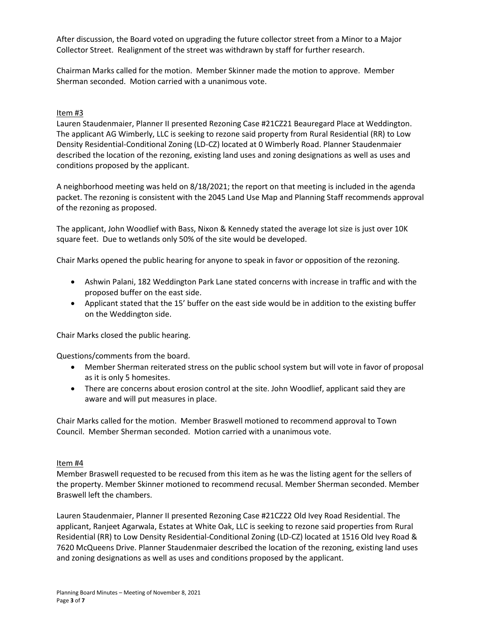After discussion, the Board voted on upgrading the future collector street from a Minor to a Major Collector Street. Realignment of the street was withdrawn by staff for further research.

Chairman Marks called for the motion. Member Skinner made the motion to approve. Member Sherman seconded. Motion carried with a unanimous vote.

#### Item #3

Lauren Staudenmaier, Planner II presented Rezoning Case #21CZ21 Beauregard Place at Weddington. The applicant AG Wimberly, LLC is seeking to rezone said property from Rural Residential (RR) to Low Density Residential-Conditional Zoning (LD-CZ) located at 0 Wimberly Road. Planner Staudenmaier described the location of the rezoning, existing land uses and zoning designations as well as uses and conditions proposed by the applicant.

A neighborhood meeting was held on 8/18/2021; the report on that meeting is included in the agenda packet. The rezoning is consistent with the 2045 Land Use Map and Planning Staff recommends approval of the rezoning as proposed.

The applicant, John Woodlief with Bass, Nixon & Kennedy stated the average lot size is just over 10K square feet. Due to wetlands only 50% of the site would be developed.

Chair Marks opened the public hearing for anyone to speak in favor or opposition of the rezoning.

- Ashwin Palani, 182 Weddington Park Lane stated concerns with increase in traffic and with the proposed buffer on the east side.
- Applicant stated that the 15' buffer on the east side would be in addition to the existing buffer on the Weddington side.

Chair Marks closed the public hearing.

Questions/comments from the board.

- Member Sherman reiterated stress on the public school system but will vote in favor of proposal as it is only 5 homesites.
- There are concerns about erosion control at the site. John Woodlief, applicant said they are aware and will put measures in place.

Chair Marks called for the motion. Member Braswell motioned to recommend approval to Town Council. Member Sherman seconded. Motion carried with a unanimous vote.

#### Item #4

Member Braswell requested to be recused from this item as he was the listing agent for the sellers of the property. Member Skinner motioned to recommend recusal. Member Sherman seconded. Member Braswell left the chambers.

Lauren Staudenmaier, Planner II presented Rezoning Case #21CZ22 Old Ivey Road Residential. The applicant, Ranjeet Agarwala, Estates at White Oak, LLC is seeking to rezone said properties from Rural Residential (RR) to Low Density Residential-Conditional Zoning (LD-CZ) located at 1516 Old Ivey Road & 7620 McQueens Drive. Planner Staudenmaier described the location of the rezoning, existing land uses and zoning designations as well as uses and conditions proposed by the applicant.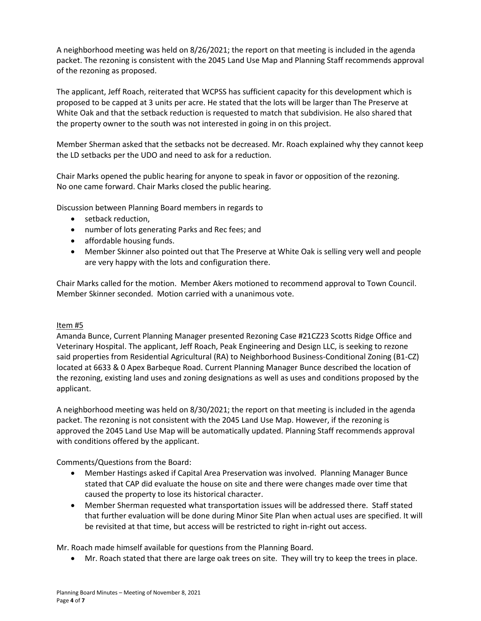A neighborhood meeting was held on 8/26/2021; the report on that meeting is included in the agenda packet. The rezoning is consistent with the 2045 Land Use Map and Planning Staff recommends approval of the rezoning as proposed.

The applicant, Jeff Roach, reiterated that WCPSS has sufficient capacity for this development which is proposed to be capped at 3 units per acre. He stated that the lots will be larger than The Preserve at White Oak and that the setback reduction is requested to match that subdivision. He also shared that the property owner to the south was not interested in going in on this project.

Member Sherman asked that the setbacks not be decreased. Mr. Roach explained why they cannot keep the LD setbacks per the UDO and need to ask for a reduction.

Chair Marks opened the public hearing for anyone to speak in favor or opposition of the rezoning. No one came forward. Chair Marks closed the public hearing.

Discussion between Planning Board members in regards to

- setback reduction,
- number of lots generating Parks and Rec fees; and
- affordable housing funds.
- Member Skinner also pointed out that The Preserve at White Oak is selling very well and people are very happy with the lots and configuration there.

Chair Marks called for the motion. Member Akers motioned to recommend approval to Town Council. Member Skinner seconded. Motion carried with a unanimous vote.

### Item #5

Amanda Bunce, Current Planning Manager presented Rezoning Case #21CZ23 Scotts Ridge Office and Veterinary Hospital. The applicant, Jeff Roach, Peak Engineering and Design LLC, is seeking to rezone said properties from Residential Agricultural (RA) to Neighborhood Business-Conditional Zoning (B1-CZ) located at 6633 & 0 Apex Barbeque Road. Current Planning Manager Bunce described the location of the rezoning, existing land uses and zoning designations as well as uses and conditions proposed by the applicant.

A neighborhood meeting was held on 8/30/2021; the report on that meeting is included in the agenda packet. The rezoning is not consistent with the 2045 Land Use Map. However, if the rezoning is approved the 2045 Land Use Map will be automatically updated. Planning Staff recommends approval with conditions offered by the applicant.

Comments/Questions from the Board:

- Member Hastings asked if Capital Area Preservation was involved. Planning Manager Bunce stated that CAP did evaluate the house on site and there were changes made over time that caused the property to lose its historical character.
- Member Sherman requested what transportation issues will be addressed there. Staff stated that further evaluation will be done during Minor Site Plan when actual uses are specified. It will be revisited at that time, but access will be restricted to right in-right out access.

Mr. Roach made himself available for questions from the Planning Board.

• Mr. Roach stated that there are large oak trees on site. They will try to keep the trees in place.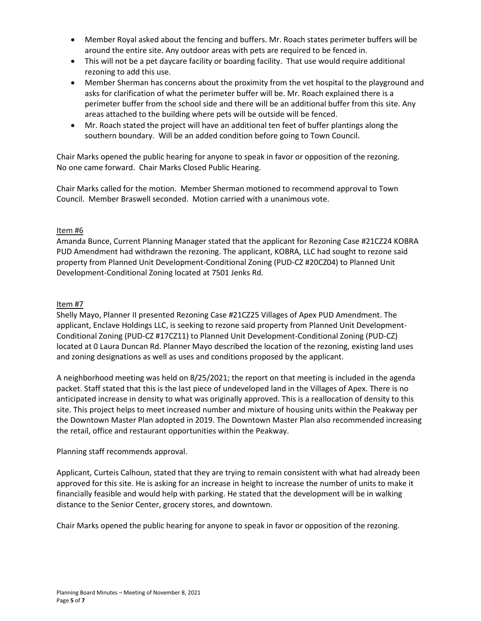- Member Royal asked about the fencing and buffers. Mr. Roach states perimeter buffers will be around the entire site. Any outdoor areas with pets are required to be fenced in.
- This will not be a pet daycare facility or boarding facility. That use would require additional rezoning to add this use.
- Member Sherman has concerns about the proximity from the vet hospital to the playground and asks for clarification of what the perimeter buffer will be. Mr. Roach explained there is a perimeter buffer from the school side and there will be an additional buffer from this site. Any areas attached to the building where pets will be outside will be fenced.
- Mr. Roach stated the project will have an additional ten feet of buffer plantings along the southern boundary. Will be an added condition before going to Town Council.

Chair Marks opened the public hearing for anyone to speak in favor or opposition of the rezoning. No one came forward. Chair Marks Closed Public Hearing.

Chair Marks called for the motion. Member Sherman motioned to recommend approval to Town Council. Member Braswell seconded. Motion carried with a unanimous vote.

## Item #6

Amanda Bunce, Current Planning Manager stated that the applicant for Rezoning Case #21CZ24 KOBRA PUD Amendment had withdrawn the rezoning. The applicant, KOBRA, LLC had sought to rezone said property from Planned Unit Development-Conditional Zoning (PUD-CZ #20CZ04) to Planned Unit Development-Conditional Zoning located at 7501 Jenks Rd.

## Item #7

Shelly Mayo, Planner II presented Rezoning Case #21CZ25 Villages of Apex PUD Amendment. The applicant, Enclave Holdings LLC, is seeking to rezone said property from Planned Unit Development-Conditional Zoning (PUD-CZ #17CZ11) to Planned Unit Development-Conditional Zoning (PUD-CZ) located at 0 Laura Duncan Rd. Planner Mayo described the location of the rezoning, existing land uses and zoning designations as well as uses and conditions proposed by the applicant.

A neighborhood meeting was held on 8/25/2021; the report on that meeting is included in the agenda packet. Staff stated that this is the last piece of undeveloped land in the Villages of Apex. There is no anticipated increase in density to what was originally approved. This is a reallocation of density to this site. This project helps to meet increased number and mixture of housing units within the Peakway per the Downtown Master Plan adopted in 2019. The Downtown Master Plan also recommended increasing the retail, office and restaurant opportunities within the Peakway.

## Planning staff recommends approval.

Applicant, Curteis Calhoun, stated that they are trying to remain consistent with what had already been approved for this site. He is asking for an increase in height to increase the number of units to make it financially feasible and would help with parking. He stated that the development will be in walking distance to the Senior Center, grocery stores, and downtown.

Chair Marks opened the public hearing for anyone to speak in favor or opposition of the rezoning.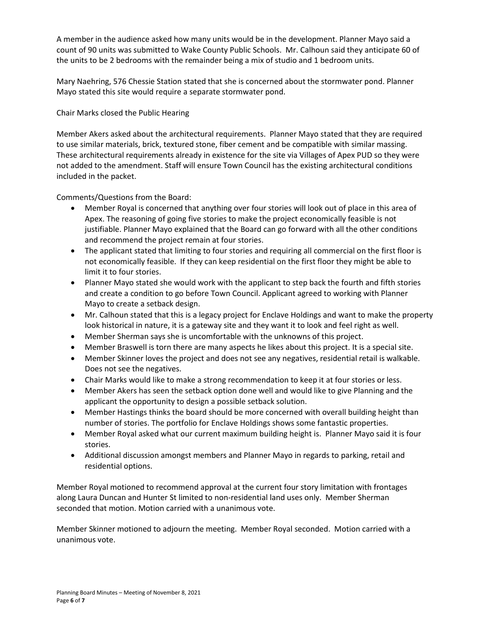A member in the audience asked how many units would be in the development. Planner Mayo said a count of 90 units was submitted to Wake County Public Schools. Mr. Calhoun said they anticipate 60 of the units to be 2 bedrooms with the remainder being a mix of studio and 1 bedroom units.

Mary Naehring, 576 Chessie Station stated that she is concerned about the stormwater pond. Planner Mayo stated this site would require a separate stormwater pond.

Chair Marks closed the Public Hearing

Member Akers asked about the architectural requirements. Planner Mayo stated that they are required to use similar materials, brick, textured stone, fiber cement and be compatible with similar massing. These architectural requirements already in existence for the site via Villages of Apex PUD so they were not added to the amendment. Staff will ensure Town Council has the existing architectural conditions included in the packet.

Comments/Questions from the Board:

- Member Royal is concerned that anything over four stories will look out of place in this area of Apex. The reasoning of going five stories to make the project economically feasible is not justifiable. Planner Mayo explained that the Board can go forward with all the other conditions and recommend the project remain at four stories.
- The applicant stated that limiting to four stories and requiring all commercial on the first floor is not economically feasible. If they can keep residential on the first floor they might be able to limit it to four stories.
- Planner Mayo stated she would work with the applicant to step back the fourth and fifth stories and create a condition to go before Town Council. Applicant agreed to working with Planner Mayo to create a setback design.
- Mr. Calhoun stated that this is a legacy project for Enclave Holdings and want to make the property look historical in nature, it is a gateway site and they want it to look and feel right as well.
- Member Sherman says she is uncomfortable with the unknowns of this project.
- Member Braswell is torn there are many aspects he likes about this project. It is a special site.
- Member Skinner loves the project and does not see any negatives, residential retail is walkable. Does not see the negatives.
- Chair Marks would like to make a strong recommendation to keep it at four stories or less.
- Member Akers has seen the setback option done well and would like to give Planning and the applicant the opportunity to design a possible setback solution.
- Member Hastings thinks the board should be more concerned with overall building height than number of stories. The portfolio for Enclave Holdings shows some fantastic properties.
- Member Royal asked what our current maximum building height is. Planner Mayo said it is four stories.
- Additional discussion amongst members and Planner Mayo in regards to parking, retail and residential options.

Member Royal motioned to recommend approval at the current four story limitation with frontages along Laura Duncan and Hunter St limited to non-residential land uses only. Member Sherman seconded that motion. Motion carried with a unanimous vote.

Member Skinner motioned to adjourn the meeting. Member Royal seconded. Motion carried with a unanimous vote.